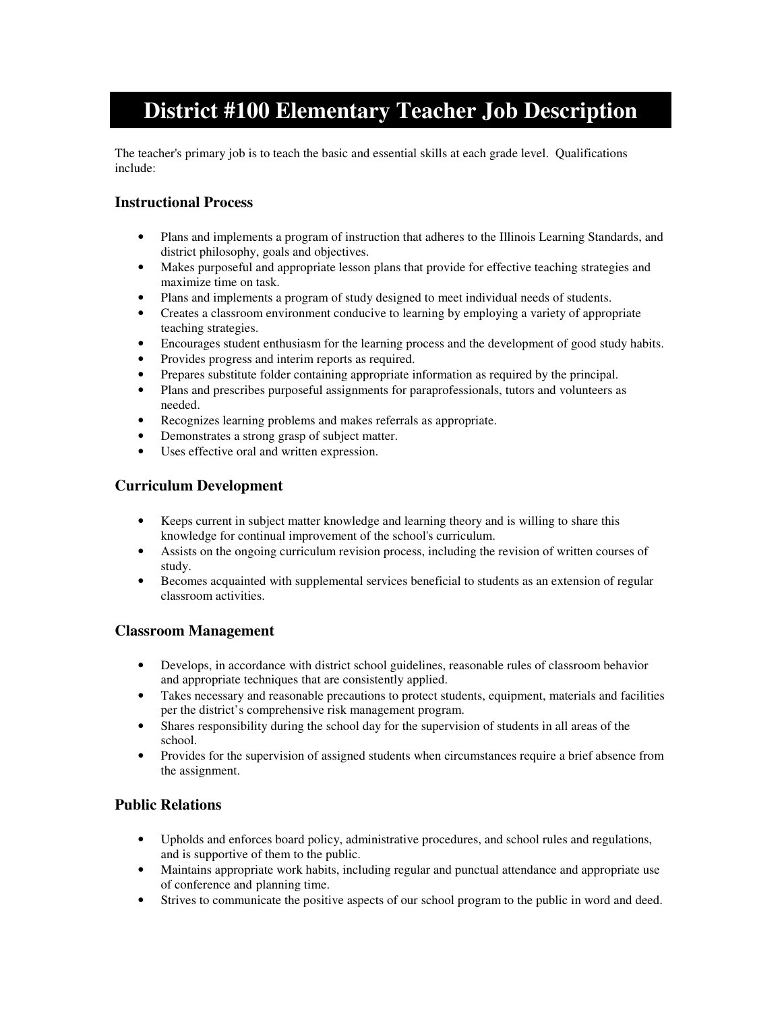# **District #100 Elementary Teacher Job Description**

The teacher's primary job is to teach the basic and essential skills at each grade level. Qualifications include:

# **Instructional Process**

- Plans and implements a program of instruction that adheres to the Illinois Learning Standards, and district philosophy, goals and objectives.
- Makes purposeful and appropriate lesson plans that provide for effective teaching strategies and maximize time on task.
- Plans and implements a program of study designed to meet individual needs of students.
- Creates a classroom environment conducive to learning by employing a variety of appropriate teaching strategies.
- Encourages student enthusiasm for the learning process and the development of good study habits.
- Provides progress and interim reports as required.
- Prepares substitute folder containing appropriate information as required by the principal.
- Plans and prescribes purposeful assignments for paraprofessionals, tutors and volunteers as needed.
- Recognizes learning problems and makes referrals as appropriate.
- Demonstrates a strong grasp of subject matter.
- Uses effective oral and written expression.

## **Curriculum Development**

- Keeps current in subject matter knowledge and learning theory and is willing to share this knowledge for continual improvement of the school's curriculum.
- Assists on the ongoing curriculum revision process, including the revision of written courses of study.
- Becomes acquainted with supplemental services beneficial to students as an extension of regular classroom activities.

#### **Classroom Management**

- Develops, in accordance with district school guidelines, reasonable rules of classroom behavior and appropriate techniques that are consistently applied.
- Takes necessary and reasonable precautions to protect students, equipment, materials and facilities per the district's comprehensive risk management program.
- Shares responsibility during the school day for the supervision of students in all areas of the school.
- Provides for the supervision of assigned students when circumstances require a brief absence from the assignment.

#### **Public Relations**

- Upholds and enforces board policy, administrative procedures, and school rules and regulations, and is supportive of them to the public.
- Maintains appropriate work habits, including regular and punctual attendance and appropriate use of conference and planning time.
- Strives to communicate the positive aspects of our school program to the public in word and deed.